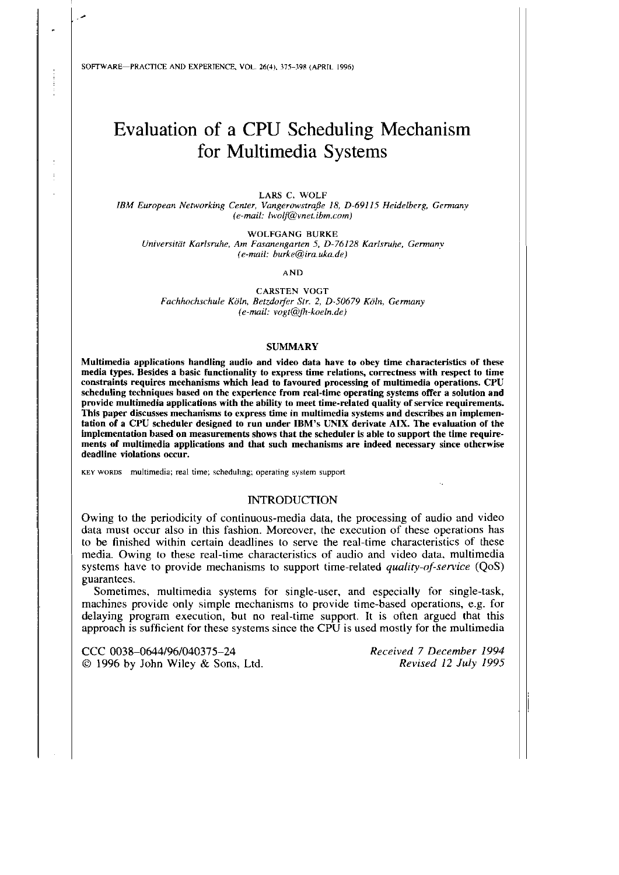SOFTWARE-PRACTICE AND EXPERIENCE, VOL. 26(4), 375-398 (APRIL 1996)

# Evaluation of a CPU Scheduling Mechanism for Multimedia Systems

LARS C. WOLF

**IBM** *Eiiropean Neworking Center, Vangerowstraße 18, 0-69115 Heidelbrrg, Crrniany (e-mil: Iwolf@vneribrn.corn)* 

WOLFGANG BURKE *Universirär Karlsruhe, Arn Fasanerigarlen 5, 0.76128 Karlsruhe, Gernian? (e-niail: burke@ira.uka.de)* 

AND

CARSTEN VOGT *Fachhochschule Köln, Beizdorfer Sir 2, 0.50679 Köln, Germony (e-mil: vogt@jk-koeln.de)* 

#### **SUMMARY**

Multimedia applications handling audio and video data have to obey time characteristics of these media types. Besides a hasic functionality **to** express time relations, correctness with respect to time constraints requires meehanisms which lead to favoured processing of multimedia operations. CPU scheduling techniques hased on the experience from real-time operating systems offer a solution and provide multimedia applications with the ability to meet time-related quality of service requirements. This paper discusses mechanisms to express time in multimedia systems and descrihes an implementation of a CPU scheduler designed to run under IBM's UNIX derivate AIX. The evaluation of the Implementation hased on measurements shows that the scheduler is ahle to support the time requirements of multimedia applications and that such mechanisms are indeed necessary since otherwise deadline violations occur.

**KEY WonDs** multimedia; real time; **scheduling;** operating System support

## INTRODUCTION

Owing to the periodicity of continuous-media data, the processing of audio and video data must occur also in this fashion. Moreover, the execution of these operations has to be finished within certain deadlines to serve the real-time characteristics of these media. Owing to these real-time characteristics of audio and video data. multimedia systems have to provide mechanisms to support time-related *qualip-of-senice* (QoS) guarantees.

Sometimes, multimedia systems for single-user, and especially for single-task, machines provide only simple mechanisms to provide time-based operations, e.g. for delaying program execution, but no real-time support. It is often argued that this approach is sufficient for these systems since the CPU is used mostly for the multimedia

CCC 0038-0644/96/040375-24 C3 1996 by John Wiley & Sons, Ltd *Received 7 December 1994 Revised 12 July 1995*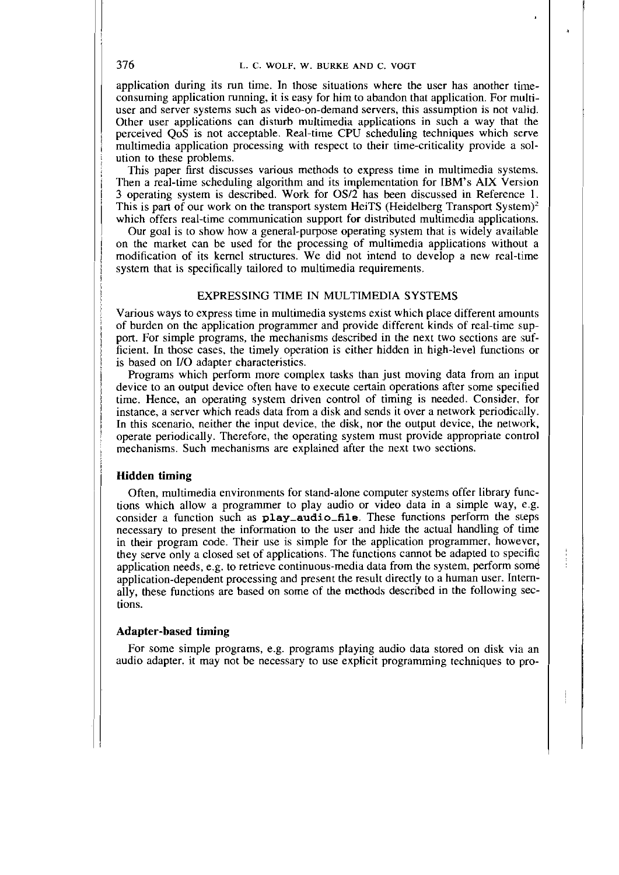$\lambda$ 

application during its run time. In those situations where the user has another timeconsuming application running, it is easy for him to abandon that application. For multi-User and server systems such as video-on-demand Servers, this assumption is not valid. Other user applications can disturb multimedia applications in such a way that the perceived  $QoS$  is not acceptable. Real-time CPU scheduling techniques which serve multimedia application processing with respect to their time-cnticality provide a solution to these problems.

This paper first discusses various methods to express time in multimedia systems. Then a real-time scheduling algorithm and its implementation for IBM's AIX Version **3** operating system is described. Work for OS/2 has been discussed in Reference 1. This is part of our work on the transport system HeiTS (Heidelberg Transport System)<sup>2</sup> which offers real-time communication support for distributed multimedia applications.

Our goal is to show how a general-purpose operating system that is widely available on the market can be used for the processing of multimedia applications without a modification of its kerne1 strnctures. We did not intend to develop a new real-time system that is specifically tailored to multimedia requirements.

## EXPRESSING TIME IN MULTIMEDIA SYSTEMS

Various ways to express time in multimedia systems exist which place different amounts of burden on the application programmer and provide different kinds of real-time support. For simple programs, the mechanisms described in the next two sections are sufficient. In those cases, the timely operation is either hidden in high-level functions or is based on U0 adapter characteristics.

Programs which perform more complex tasks than just moving data from an input device to an output device often have to execute certain operations after some specified time. Hence, an operating system driven control of timing is needed. Consider, for instance, a server which reads data from a disk and sends it over a network periodicsilly. In this Scenario. neither the input device, the disk, nor the output device, the network, operate periodically. Therefore, the operating system must provide appropnate control mechanisms. Such mechanisms are explained after the next two sections.

## **Hidden timing**

Often, multimedia environments for stand-alone computer systems offer library functions which allow a programmer to play audio or video data in a simple way, e.g. consider a function such as **play\_audio\_file**. These functions perform the steps necessary to present the information to the user and hide the actual handling of time in their program code. Their use is simple for the application programmer, however, they serve only a closed set of applications. The functions cannot be adapted to specific application needs, e.g. to retrieve continuous-media data from the system, perform some application-dependent processing and present the result directly to a human user. Internally, these functions are based on some of the methods described in the following sections.

## **Adapter-based timing**

For some simple programs, e.g. programs playing audio data stored on disk via an audio adapter. it may not be necessary to use explicit programming techniques to pro-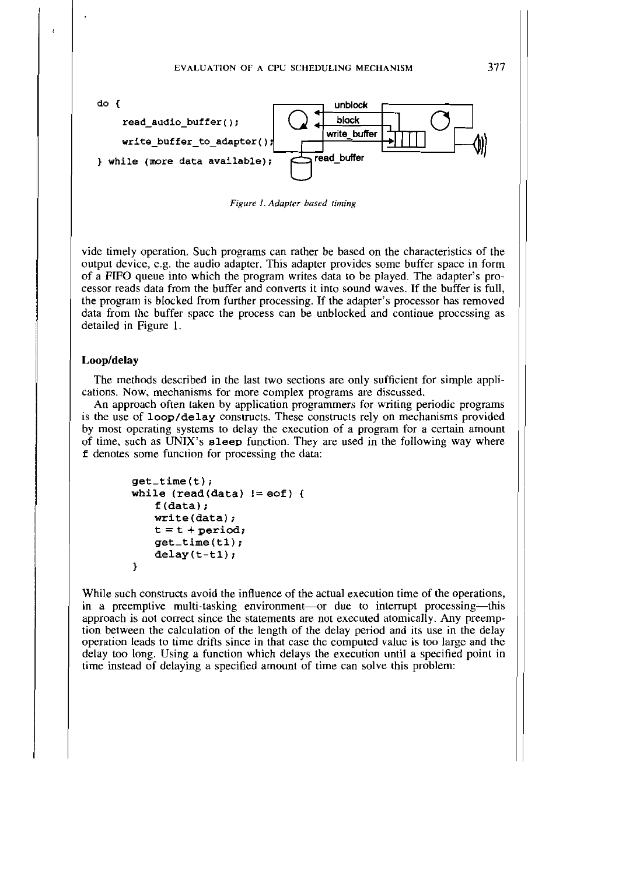

*Figure I. Adapter bused riming* 

vide timely operation. Such programs can rather be based on the characteristics of the output device, e.g. the audio adapter. This adapter provides some buffer space in form of a FIFO queue into which the program writes data to be played. The adapter's processor reads data from the buffer and converts it into sound waves. If the buffer is full, the program is blocked from further processing. If the adapter's processor has removed data from the huffer space the process can be unblocked and continue processing as detailed in Figure 1.

## Loop/delay

 $\bar{z}$ 

The methods descnbed in the last two sections are only sufficient for simple applications. Now, mechanisms for more complex programs are discussed.

An approach often taken by application programmers for writing periodic programs is the use of **loop/delay** constructs. These constructs rely on mechanisms provided by most operating systems to delay the execution of a program for a certain amount of time, such as UNIX's **sleep** function. They are used in the following way where **f** denotes some function for processing the data:

```
get-tirne(t); 
while (read(data) != eof) ( 
f (data) ; 
    write(data); 
    t = t + period;get-tirne(t1); 
    delay(t-tl); 
1
```
While such constructs avoid the influence of the actual execution time of the operations, in a preemptive multi-tasking environment—or due to interrupt processing—this approach is not correct since the Statements are not executed atomically. Any preemption between the calculation of the length of the delay penod and its use in the delay operation leads to time drifts since in that case the computed value is too large and the delay too long. Using a function which delays the execulion until a specified point in time instead of delaying a specified amount of time can solve this problern: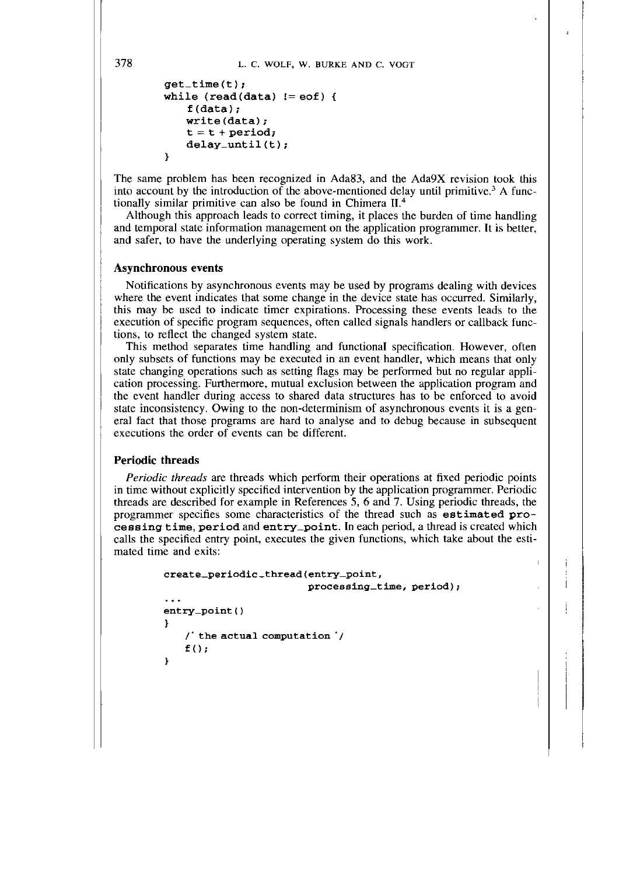```
get-time(t); 
while (read(data) != <b>eof) {<br>
f (data);
    write (data) ; 
    t = t + period;delay-until(t); 
1
```
The same problem has been recognized in Ada83, and the Ada9X revision took this into account by the introduction of the above-mentioned delay until primitive.<sup>3</sup> A functionally similar primitive can also be found in Chimera II.<sup>4</sup>

Although this approach leads to correct timing, it places the burden of time handling and temporal state information management on the application programmer. It is hetter, and safer, to have the underlying operating system do this work.

## **Asynchronous events**

Notifications hy asynchronous events may he used hy programs dealing with devices where the event indicates that some change in the device state has occurred. Similarly, this may he used to indicate timer expirations. Processing these events leads to the execution of specific program sequences, often called signals handlers or callhack functions, to reflect the changed system state.

This method separates time handling and functionaI specification. However, often only suhsets of functions may he executed in an event handler, which means that only state changing operations such as setting flags may he performed hut no regular application processing. Furthermore, mutual exclusion between the application program and the event handler during access to shared data structures has to he enforced to avoid state inconsistency. Owing to the non-determinism of asynchronous events it is a general fact that those programs are hard to analyse and to dehug hecause in suhsequent executions the order of events can he different.

## **Periodic threads**

**1** 

*Periodic threads* are threads which perform their operations at fixed periodic points in time without explicitly specified intervention by the application programmer. Periodic threads are descrihed for example in References 5, 6 and 7. Using periodic threads, the programmer specifies some characteristics of the thread such as **estimated processing time, period** and **entry-point.** In each period, a thread is created which calls the specified entry point, executes the given functions, which take ahout the estimated time and exits:

 $\overline{\phantom{a}}$ 

```
create-periodic-thread(entry-point, 
                          processing-time, period); 
. . . 
entry\_point()1 
   /' the actual computation '/ 
   f();
```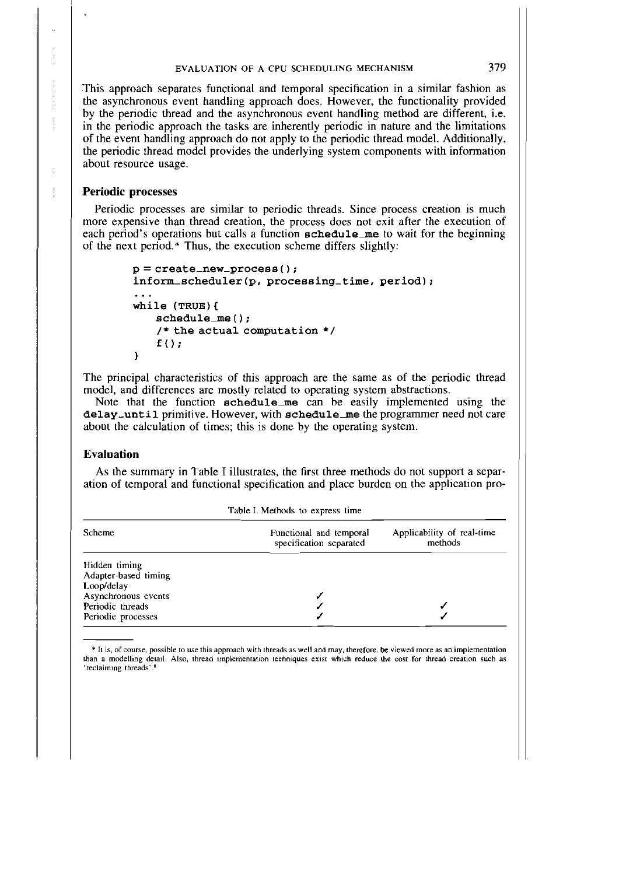This approach separates functional and temporal specification in a similar fashion as the asynchronous event handling approach does. However, the functionality provided by the periodic thread and the asynchronous event handling method are different, i.e. in the periodic approach the tasks are inherently periodic in nature and the limitations of the event handling approach do not apply to the periodic thread model. Additionally, the periodic thread model provides the underlying system components with information about resource usage.

#### **Periodic processes**

Ť

Ċ  $\overline{\phantom{a}}$ 

> Periodic processes are similar to periodic threads. Since process creation is much more expensive than thread creation, the process does not exit after the execution of each period's operations but calls a function **schedule-me** to wait for the beginning of the next period.\* Thus, the execution scheme differs slightly:

```
p= create-new-process ( ) ; 
inform-echeduler(p, processing-time, period); 
\mathbf{A}while (TRUE) ( 
    echedule-me ( ) ; 
    /* the actual computation */ 
    £();
1
```
The principal characteristics of this approach are the same as of the periodic thread model, and differences are mostly related to operating system abstractions.

Note that the function **schedule-me** can be easily implemented using the **delay-until** primitive. However, with **echeduleme** the programmer need not care about the calculation of times; this is done by the operating system.

## **Evaluation**

**As** the summary in Table I illustrates, the first three methods do not suppon a separation of temporal and functional specification and place burden on the application pro-

| regio i momoge to exprese mno           |                                                    |                                       |
|-----------------------------------------|----------------------------------------------------|---------------------------------------|
| <b>Scheme</b>                           | Functional and temporal<br>specification separated | Applicability of real-time<br>methods |
| Hidden timing<br>Adapter-based timing   |                                                    |                                       |
| Loop/delay                              |                                                    |                                       |
| Asynchronous events<br>Periodic threads |                                                    |                                       |
| Periodie processes                      |                                                    |                                       |

Table I. Methods to express time

\* **Ii** is, of **course,** possible to **use** this approach wiih ihreads **as wcll and** may. therefore. **be** vicwed **rnore as** an implemenfation rhan a modelling deiail. Also, thread irnplernenraiion ceehniquei exirr which **reduce** ihe **cost** for rhread creation such **as**  'reclaiming threads'.<sup>8</sup>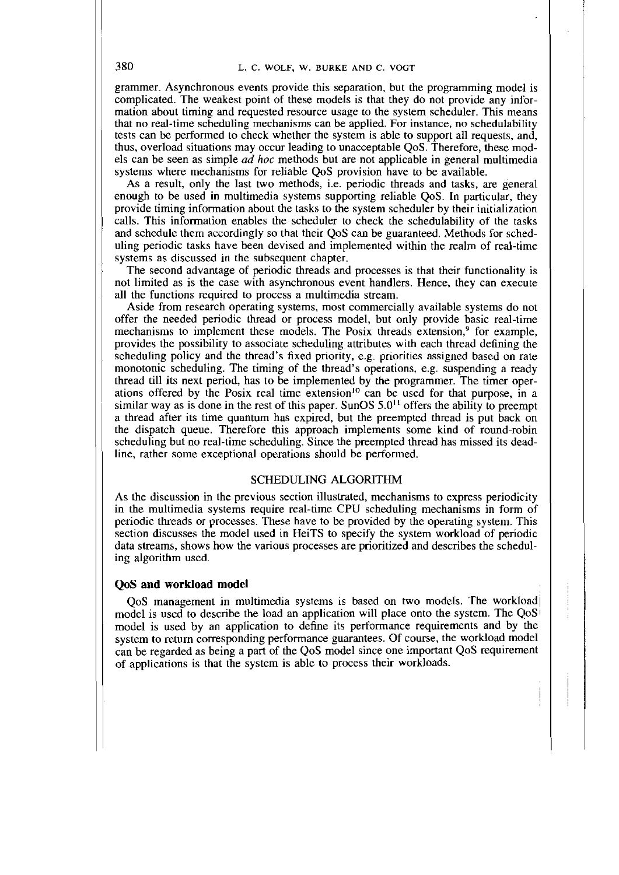grammer. Asynchronous events provide this separation, but the programming model is complicated. The weakest point of these models is that they do not provide any inl'ormation about timing and requested resource usage to the system scheduler. This means that no real-time scheduling mechanisms can be applied. For instance, no schedulability tests can be performed to check whether the system is able to Support all requests, and, thus, overload situations may occur leading to unacceptable QoS. Therefore, these models can be seen as simple *ad hoc* methods but are not applicable in general multimedia systems where mechanisms for reliable QoS provision have to be available.

As a result, only the last two methods, i.e. periodic threads and tasks, are general enough to be used in multimedia systems supporting reliable QoS. In particular, they provide timing information about the tasks to the system scheduler by their initialization calls. This information enables the scheduler to check the schedulability of the tasks and schedule them accordingly so that their QoS can be guaranteed. Methods for scheduling periodic tasks have been devised and implemented within the realm of real-time systems as discussed in the subsequent chapter.

The second advantage of periodic threads and processes is that their functionality is not limited as is the case with asynchronous event handlers. Hence, they can execute all the functions required to process a multimedia stream.

Aside from research operating systems, most commercially available systems do not offer the needed periodic thread or process model, but only provide basic real-time mechanisms to implement these models. The Posix threads extension,<sup>9</sup> for example, provides the possibility to associate scheduling attributes with each thread defining the scheduling policy and the thread's fixed priority, e.g. priorities assigned based on rate monotonic scheduling. The timing of the thread's operations, e.g. suspending a ready thread till its next period, has to be implemented by the programmer. The timer operations offered by the Posix real time extension<sup>10</sup> can be used for that purpose, in a similar way as is done in the rest of this paper. SunOS  $5.0^{11}$  offers the ability to preempt a thread after its time quantum has expired, but the preempted thread is put back on the dispatch queue. Therefore this approach implements some kind of round-robin scheduling but no real-time scheduling. Since the preempted thread has missed its deadline, rather some exceptional operations should be performed.

#### SCHEDULING ALGORITHM

As the discussion in the previous section illustrated, mechanisms to express periodic:ity in the multimedia systems require real-time CPU scheduling mechanisms in form of periodic threads or processes. These have to be provided by the operating system. This section discusses the model used in HeiTS to specify the system workload of periodic data streams, shows how the various processes are prioritized and describes the scheduling algorithm used.

#### QoS and workload model

QoS management in multimedia systems is based on two models. The workloadl model is used to describe the load an application will place onto the system. The  $Q_0S<sup>1</sup>$ model is used by an application to define its performance requirements and by the system to retum corresponding performance guarantees. Of Course, the workload model can be regarded as being a part of the QoS model since one important QoS requirement of applications is that the system is able to process their workloads.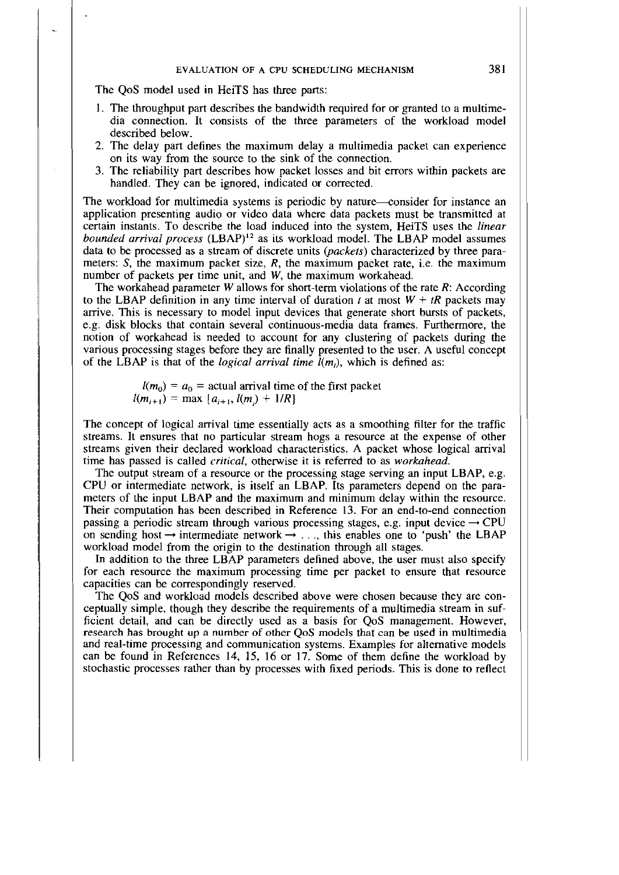The QoS model used in HeiTS has three parts:

- 1. The throughput part describes the bandwidth required for or granted to a multimedia connection. It consists of the three parameters of the workload model described below.
- 2. The delay part defines the maximum delay a multimedia packet can experience on its way from the source to the sink of the connection.
- 3. The reliability part describes how packet losses and bit errors within packets are handled. They can be ignored, indicated or corrected.

The workload for multimedia systems is periodic by nature—consider for instance an application presenting audio or video data where data packets must be transmitted at certain instants. To describe the load induced into the System, HeiTS uses the *linear bounded arrival process* **(LBAP)12** as its workload model. The **LBAP** model assumes data to be processed as a stream of discrete units *(packets)* characterized by three parameters:  $S$ , the maximum packet size,  $R$ , the maximum packet rate, i.e. the maximum number of packets per time unit, and W, the maximum workahead.

The workahead parameter W allows for short-term violations of the rate  $R$ : According to the LBAP definition in any time interval of duration *t* at most  $W + tR$  packets may arrive. This is necessary to model input devices that generate short bursts of packets, e.g. disk blocks that contain several continuous-media data frames. Furthermore, the notion of workahead is needed to account for any clustering of packets dunng the various processing stages before they are finally presented to the user. A useful concept of the LBAP is that of the *logical arrival time*  $l(m_i)$ , which is defined as:

$$
l(m_0) = a_0 = \text{actual arrival time of the first packet}
$$
  

$$
l(m_{i+1}) = \max [a_{i+1}, l(m_i) + 1/R]
$$

The concept of logical amval time essentially acts as a smoothing filter for the traffic streams. It ensures that no particular stream hogs a resource at the expense of other streams given their declared workload characteristics. **A** packet whose logical anival time has passed is called *critical.* othenvise it is referred to as *workahead.* 

The output stream of a resource or the processing Stage serving an input **LBAP,** e.g. **CPU** or intermediate network, is itself an **LBAP.** Its parameters depend on the parameters of the input **LBAP** and the maximum and minimum delay within the resource. Their computation has been described in Reference 13. For an end-to-end connection passing a periodic stream through various processing stages, e.g. input device  $\rightarrow$  CPU on sending host  $\rightarrow$  intermediate network  $\rightarrow$  ..., this enables one to 'push' the LBAP workioad model from the origin to the destination through all stages.

In addition to the three **LBAP** parameters defined above, the User must also specify for each resource the maximum processing time per packet to ensure that resource capacities can be correspondingly reserved.

The QoS and workioad models described above were chosen because they are conceptually simple. though they descnbe the requirements of a multimedia stream in sufficient detail, and can be directly used as a basis for QoS management. However, research has brought up a nurnber of other QoS models that can be used in multimedia and real-time processing and communication Systems. Examples for alternative models can be found in References 14. 15, 16 or 17. Some of them define the workioad by stochastic processes rather than by processes with fixed periods. This is done to reflect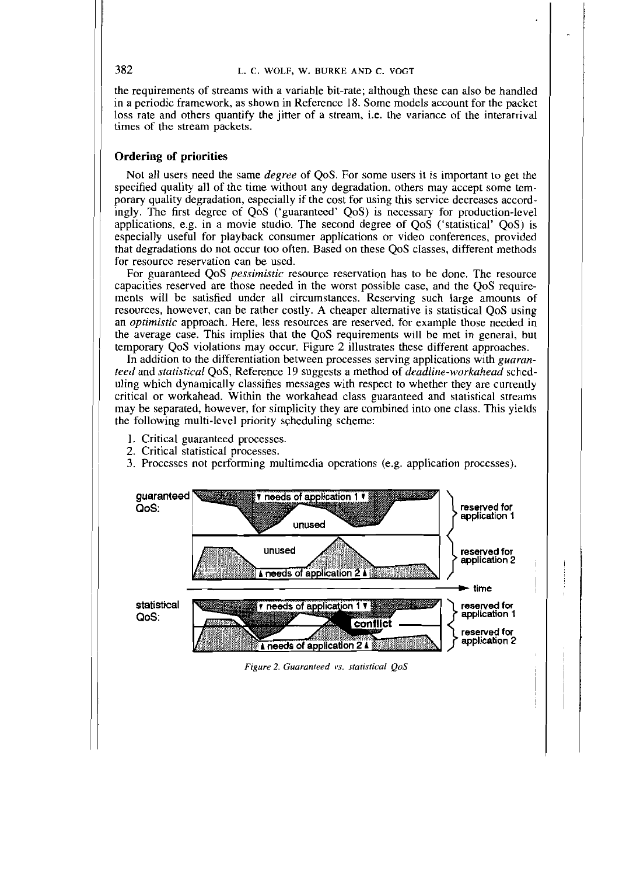die requirements of streams with a variable bit-rate; although these can also be handled in a periodic framework, as shown in Reference 18. Some models account for the packet loss rate and others quantify the jitter of a stream, i.e. the variance of the interarrival times of the stream packets.

## **Ordering of priorities**

Not all users need the same *degree* of QoS. For some users it is important 10 get the specified quality all of the time without any degradation, others may accept some temporary quality degradation, especially if the cost for using this service decreases accordingly. The first degree of QoS ('guaranteed' QoS) is necessary for production-level applications, e.g. in a movie studio. The second degree of  $\cos$  ('statistical'  $\cos$ ) is especially useful for playback consumer applications or video conferences, provided that degradations do not occur too ofien. Based on these QoS classes, different methods for resource reservation can be used.

For guaranteed OoS *pessimistic* resource reservation has to be done. The resource capacities reserved are those needed in the worst possible case, and the QoS requirements will be satisfied under all circumstances. Reserving such large amounts of resources, however, can be rather costly. A cheaper alternative is statistical QoS using an *opfimistic* approach. Here, less resources are reserved, for example those needecl in the average case. This implies that the QoS requirements will be met in general, but temporary QoS violations may occur. Figure 2 illustrates these different approaches.

In addition to the differentiation between processes serving applications with *guaranteed* and *statistical* QoS, Reference 19 suggests a method of *deadline-workahead* scheduling which dynamically classifies messages with respect to whether they are currently critical or workahead. Within the workahead class guaranteed and statistical streams may be separated, however, for simplicity they are combined into one class. This yields the following multi-level priority scheduling scheme:

- 1. Critical guaranteed processes.
- 2. Critical statistical processes.
- **3.** Processes not performing multimedia operations (e.g. application processes).



**Figirre 2. Guaranreed** W. **sfatistical QoS**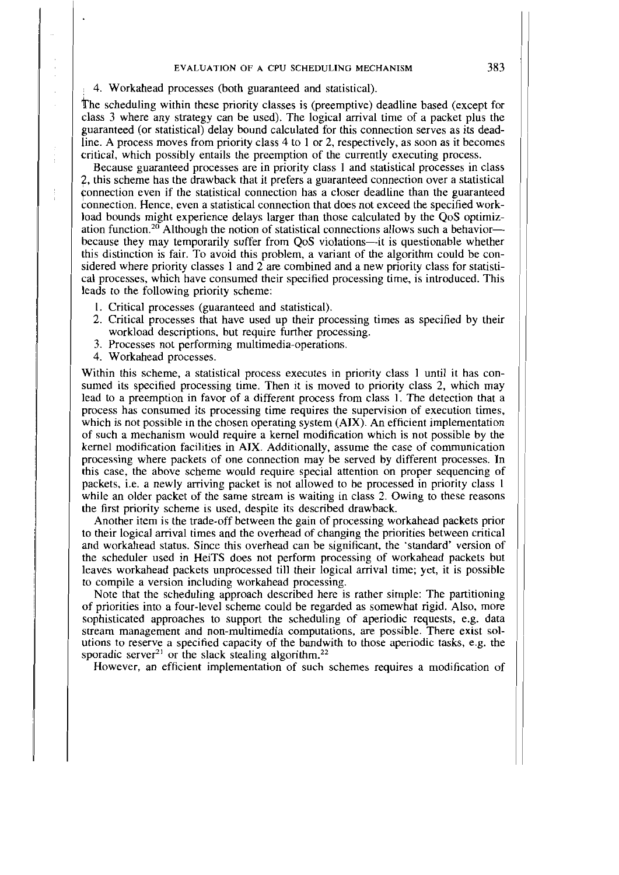#### 4. Workahead processes (both guaranteed and statistical).

The scheduling within these priority classes is (preemptive) deadline based (except for class 3 where any strategy can be used). The logical arrival time of a packet plus the guaranteed (or statistical) delay bound calculated for this connection serves as its deadline. A process moves from priority class 4 to 1 or *2,* respectively, as soon as it becomes critical, which possibly entails the preemption of the currently executing process.

Because guaranteed processes are in priority class 1 and statistical processes in class 2, this scheme has the drawback that it prefers a guaranteed connection over a statistical konnection even if the statistical connection has a closer deadline than the guaranteed connection. Hence, even a statistical connection that does not exceed the specified workload bounds might experience delays larger than those calculated by the QoS optimization function.<sup>20</sup> Although the notion of statistical connections allows such a behavior-because they may temporarily suffer from QoS violations-it is questionable whether this distinction is fair. To avoid this problem, a variant of the algorithm could be considered where priority classes 1 and *2* are combined and a new priority class for statistical processes, which have consumed their specified processing time, is introduced. This leads to the following priority scheme:

- I. Critical processes (guaranteed and statistical).
- *2.* Critical processes that have used up their processing times as specified by their workload descriptions, but require further processing.
- **3.** Processes not perfonning multimedia-operations.
- 4. Workahead processes.

 $\frac{1}{4}$ 

Within this scheme, a statistical process executes in priority class 1 until it has consumed its specified processing time. Then it is moved to priority class *2,* which may lead to a preemption in favor of a different process from class 1. The detection that a process has consumed its processing time requires the supervision of execution times, which is not possible in the chosen operating system  $(AIX)$ . An efficient implementation of such a mechanism would require a kemel modification which is not possible by the kernel modification facilities in AIX. Additionally, assume the case of communication processing where packets of one connection may be served by different processes. In this case, the above scheme would require special attention on proper sequencing of packets, i.e. a newly arriving packet is not allowed to be processed in priority class I while an older packet of the same stream is waiting in class 2. Owing to these reasons the first priority scheme is used, despite its described drawback.

Another item is the trade-off between the gain of processing workahead packets prior to their logical amval times and the overhead of changing the priorities between critical and workahead Status. Since this overhead can be significant, the 'standard' version of the scheduler used in HeiTS does not perfom processing of workahead packets but leaves workahead packets unprocessed till their logical anival time; yet, it is possible to compile a version including workahead processing.

Note that the scheduling approach described here is rather simple: The partitioning of priorities into a four-level scheme could be regarded as somewhat rigid. Also, more sophisticated approaches to Support the scheduling of aperiodic requests, e.g. data stream management and non-multimedia computations, are possible. There exist solutions to reserve a specified capacity of the bandwith to those aperiodic tasks, e.g. the sporadic server<sup>21</sup> or the slack stealing algorithm.<sup>22</sup>

However, an efficient implementation of such schemes requires a modification of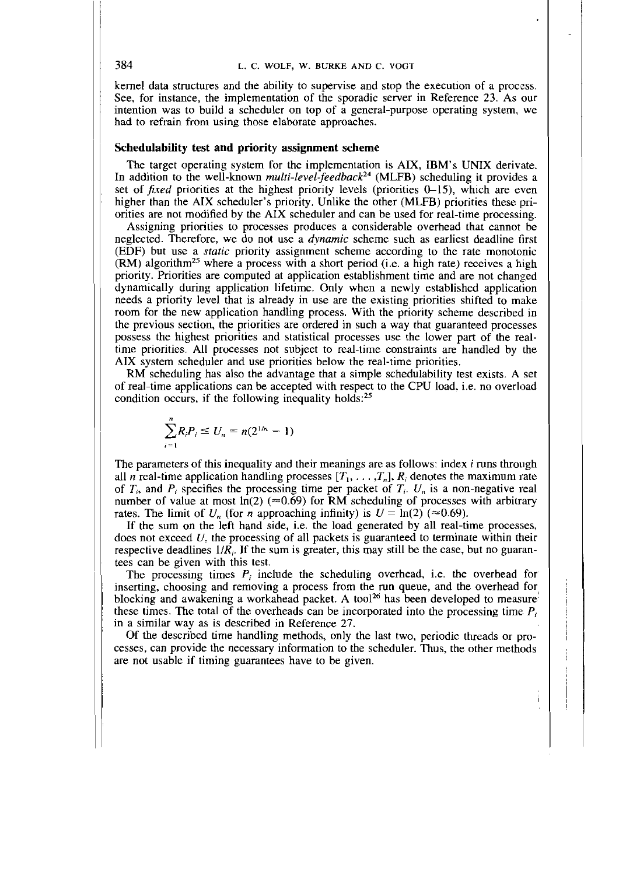kernel data structures and the ability to supervise and stop the execution of a process. See, for instance, the implementation of the sporadic server in Reference 23. As our intention was to build a scheduler on top of a general-purpose operating system. we had to refrain from using those elaborate approaches.

#### Schedulability test and priority assignment scheme

The target operating system for the implementation is AM, IBM's UNIX derivate. In addition to the well-known *multi-level-feedback*<sup>24</sup> (MLFB) scheduling it provides a set of *fixed* priorities at the highest priority levels (priorities  $0-15$ ), which are even higher than the AIX scheduler's priority. Unlike the other (MLFB) priorities these priorities are not modified by the AIX scheduler and can be used for real-time processing.

Assigning prionties to processes produces a considerable overhead that cannot be neglected. Therefore, we do not use a *dynamic* scheme such as earliest deadline first (EDF) but use a static priority assignment scheme according to the rate monotonic  $(RM)$  algorithm<sup>25</sup> where a process with a short period (i.e. a high rate) receives a high prionty. Prionties are computed at application establishment time and are not changed dynamically during application lifetime. Only when a newly established application needs a priority level that is already in use are the existing priorities shifted to make room for the new application handling process. With the priority scheme described in the previous section, the priorities are ordered in such a way that guaranteed processes possess the highest priorities and statistical processes use the lower part of the realtime pnorities. All processes not subject to real-time constraints are handled by the AIX system scheduler and use priorities below the real-time priorities.

RM scheduling has also the advantage that a simple schedulability test exists. A set of real-time applications can be accepted with respect to the CPU load. i.e. no overload condition occurs, if the following inequality holds: $^{25}$ 

$$
\sum_{i=1}^n R_i P_i \leq U_n = n(2^{1/n} - 1)
$$

The parameters of this inequality and their meanings are as follows: index  $i$  runs through all *n* real-time application handling processes  $[T_1, \ldots, T_n]$ ,  $R_i$  denotes the maximum rate of  $T_i$ , and  $P_i$  specifies the processing time per packet of  $T_i$ .  $U_n$  is a non-negative real number of value at most  $ln(2)$  ( $\approx 0.69$ ) for RM scheduling of processes with arbitrary rates. The limit of  $U_n$  (for *n* approaching infinity) is  $U = \ln(2)$  ( $\approx 0.69$ ).

If the sum on the left hand side, i.e. the load generated by all real-time processes, does not exceed *U*, the processing of all packets is guaranteed to terminate within their respective deadlines  $1/R<sub>i</sub>$ . If the sum is greater, this may still be the case, but no guarantees can be given with this test.

The processing times  $P_i$  include the scheduling overhead, i.e. the overhead for inserting, choosing and removing a process from the tun queue, and the overhead for bIocking and awakening a workahead packet. A tool<sup>26</sup> has been developed to measure these times. The total of the overheads can be incorporated into the processing time  $P_i$ in a similar way as is described in Reference 27.

**Of** the descnbed time handling methods, only the last two, periodic threads or processes, can provide the necessary information to the scheduler. Thus, the other methods are not usable if timing guarantees have to be given.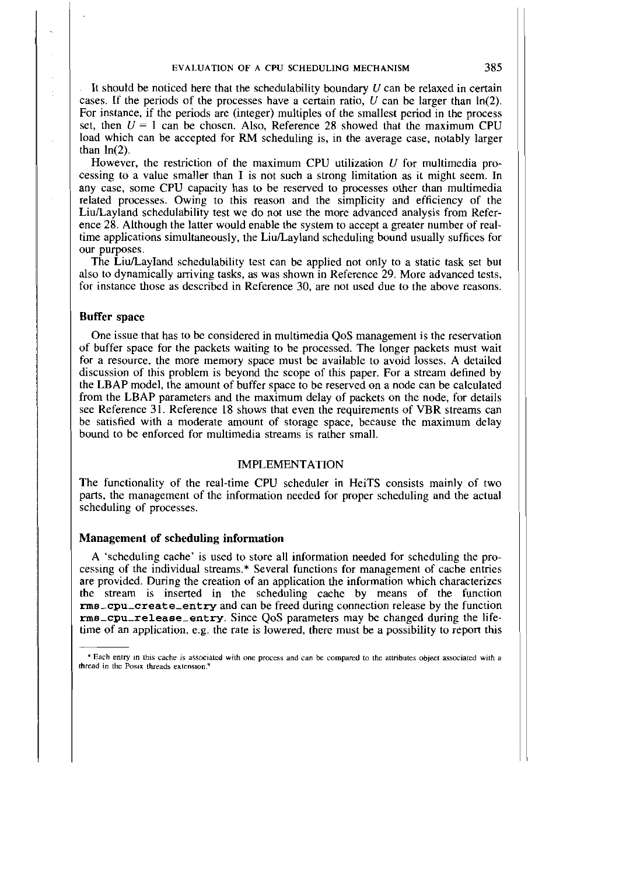It should be noticed here that the schedulability boundary  $U$  can be relaxed in certain cases. If the periods of the processes have a certain ratio,  $U$  can be larger than  $ln(2)$ . For instance, if the periods are (integer) multiples of the smallest period in the process set, then  $U = 1$  can be chosen. Also, Reference 28 showed that the maximum CPU load which can be accepted for **RM** scheduling is, in the average case, notably larger than  $ln(2)$ .

However, the restriction of the maximum CPU utilization  $U$  for multimedia processing to a value smaller than I is not such a strong limitation as it might seem. In any case, some CPU capacity has to be reserved to processes other than multimedia related processes. Owing to this reason and the simplicity and efficiency of the Liu/Layland schedulability test we do not use the more advanced analysis from Reference **28.** Although the latter would enable the system to accept a greater number of realtime applications simultaneously, the LiuLayland scheduling bound usually suffices for our purposes.

The Liu/Layland schedulability test can be applied not only to a static task set but also to dynamically amving tasks, as was shown in Reference 29. More advanced tests, for instance those as described in Reference **30,** are not used due to the above reasons.

## **Buffer space**

ċ

One issue tbat has to be considered in multimedia QoS management is the reservation of buffer space for the packets waiting to be processed. The longer packets must wait for a resource, the more memory space must be available to avoid losses. A detailed discussion of this problem is beyond the scope of this paper. For a stream defined by the LBAP model, the amount of buffer space to be reserved on a node can be calculated from the LBAP parameters and the maximum delay of packets on the node, for details See Reference **3** 1. Reference 18 shows tbat even the requirements of VBR streams can be satisfied with a moderate amount of Storage space, because the maximum delay bound to be enforced for multimedia streams is ratber small.

## IMPLEMENTATION

The functionality of the real-time CPU scheduler in HeiTS consists mainly of two Parts, the management of the information needed for proper scheduling and the actual scheduling of processes.

#### **Management of scheduling information**

A 'scheduling cache' is used to store all information needed for scheduling the processing of the individual streams.\* Several functions for management of cacbe entries are provided. During the creation of an application the information wbich characterizes the stream is inserted in the scheduling cache by means of the function **ms-cpu-create-entry** and can be freed during connection release by the function **rms\_cpu\_release\_entry.** Since QoS parameters may be changed during the lifetime of an application, e.g. the rate is lowered, there must be a possibility to report this

<sup>\*</sup> *Each* **eniry** *in ihis cache* **is ossociatd** *with* **one process** *and* **can** *be* **compared** *10 the attributes objeci associated with* **a**  *thread in the Posix threads extension.*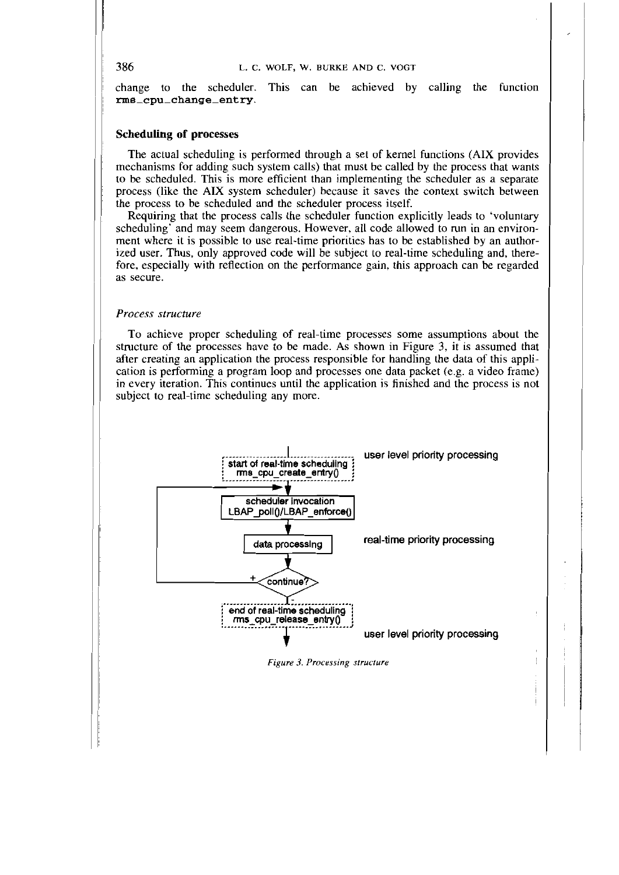change to the scheduler. This can be achieved by calling the function **ms-cpu-change-entry.** 

# **Scheduling of processes**

The actual scheduling is performed through a set of kernel functions (AIX provides mechanisms for adding such system calls) that must be called by the process that wants to be scheduled. This is more efficient than implementing the scheduler as a separate process (like the AIX system scheduler) because it saves the context switch between the process to be scheduled and the scheduler process itself.

Requiring that the process calls the scheduler function explicitly leads to 'voluniary scheduling' and may seem dangerous. However, all code allowed to run in an environment where it is possible to use real-time priorities has to be established by an authorized user. Thus, only approved code will be subject to real-time scheduling and, therefore, especially with reflection on the perfonnance gain. this approach can **be** regarded as secure.

#### *Process structure*

To achieve proper scheduling of real-time processes some assumptions about the sttucture of the processes huve to be made. As shown in Figure **3,** it is assumed that after creating an application the process responsible for handling the data of this application is perfonning a program loop and processes one data packet (e.g. a video frame) in every iteration. This continues until the application is finished and the process is not subject to real-time scheduling any more.



*Figure 3. Processing structure* 

÷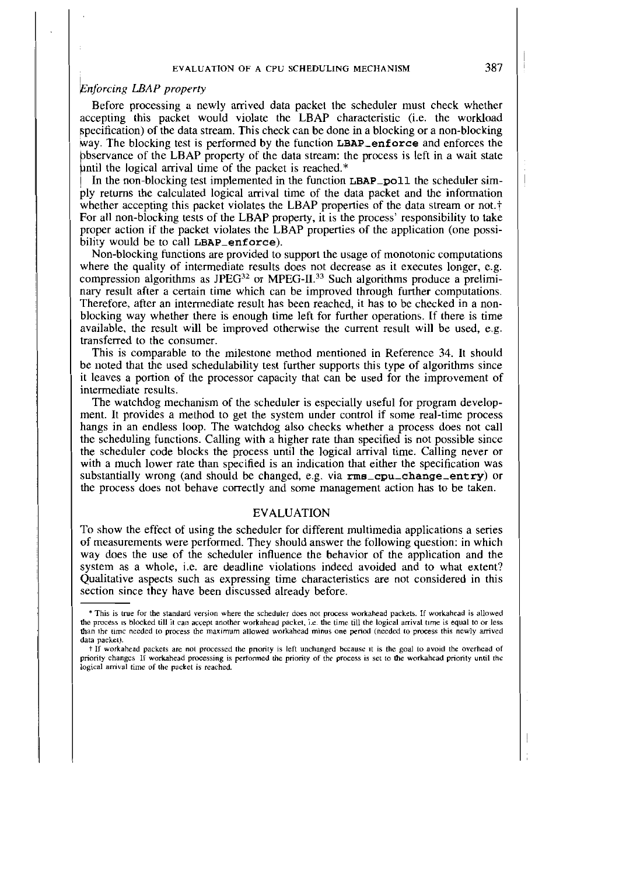## *Enforcing LBAP property*

Before processing a newly arrived data packet the scheduler must check whether accepting this packet would violate the LBAP characteristic (i.e. the workload ~pecification) of the data stream. This check can be done in a blocking or a non-blocking way. The blocking test is performed by the function LBAP<sub>-enforce</sub> and enforces the pbservance of the LBAP property of the data stream: the process is left in a wait state until the logical arrival time of the packet is reached.\*

In the non-blocking test implemented in the function  $LBAP_{D}$  poll the scheduler simply retums the calculated logical arrival time of the data packet and the information whether accepting this packet violates the LBAP properties of the data stream or not.<sup>†</sup> For all non-blocking tests of the LBAP property, it is the process' responsibility to take proper action if the packet violates the LBAP properties of the application (one possibility would be to call LBAP\_enforce).

Non-blocking functions are provided to Support the usage of monotonic computations where the quality of intermediate results does not decrease as it executes longer, e.g. compression algorithms as JPEG<sup>32</sup> or MPEG-II.<sup>33</sup> Such algorithms produce a preliminary result after a certain time which can be improved through further computations. Therefore, after an intermediate result has been reached, it has to be checked in a nonblocking way whether there is enough time left for further operations. If there is time available, the result will be improved otherwise the current result will be used, e.g. transferred to the consumer.

This is comparable to the milestone method mentioned in Reference 34. It should be noted that the used schedulability test further supports this type of algorithms since it leaves a portion of the processor capacity that can be used for the improvement of intermediate results.

The watchdog mechanism of the scheduler is especially useful for program development. It provides a method to get the system under control if some real-time process hangs in an endless loop. The watchdog also checks whether a process does not call the scheduling functions. Calling with a higher rate than specified is not possible since the scheduler code blocks the process until the logical arrival time. Calling never or with a much lower rate than specified is an indication that either the specification was substantially wrong (and should be changed, e.g. via  $\text{rms\_cpu\_change\_entry}$ ) or the process does not behave correctly and some management action has to be taken.

## EVALUATION

To show the effect of using the scheduler for different multimedia applications a senes of measurements were performed. They should answer the following question: in which way does the use of the scheduler influence the behavior of the application and the system as a whole, i.e. are deadline violations indeed avoided and to what extent? Qualitative aspects such as expressing time characteristics are not considered in this section since they have been discussed already before.

<sup>\*</sup> **This is tme for the standard version where the schedulrr does nor process workahead packets. If workahead is allowed Uie pmcers is blocked till it can accepr another workahead packet, i.c Uie time till the logical arrival time is equal to or less**  than the timc needed to process the maximum allowed workahead minus one period (needed to process this newly arrived **data packet).** 

t If workahead packets are not processed the pnority is left unchanged because it is the goal to avoid the overhead of **prionty changcs** If **workahead processing is pertomed the pnoriiy of thr process ir Set io Uie workahead prionty until thc logical amival time of the packet is reached.**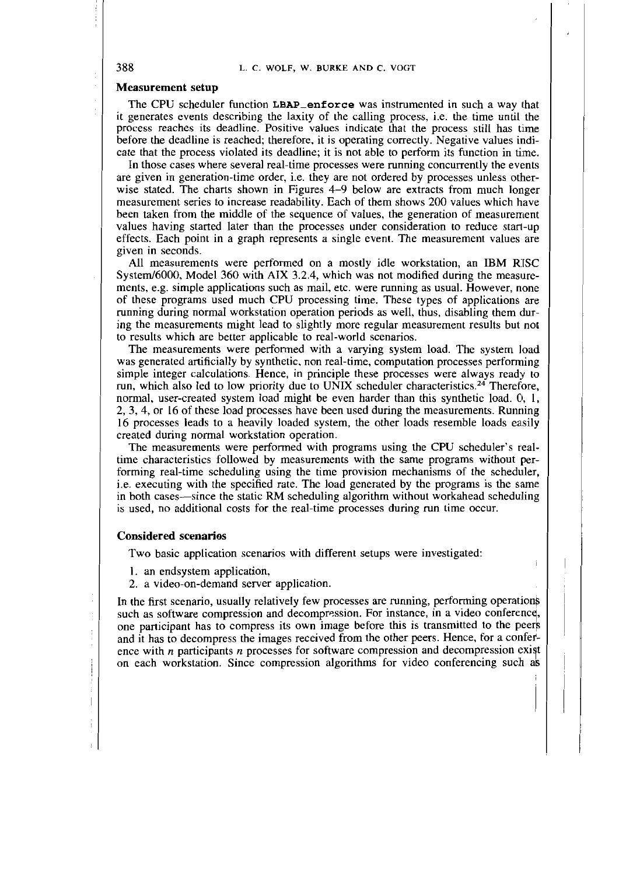#### **Measurement setup**

The CPU scheduler function **LBAP-enforce** was instrumented in such a way that it generates events descnbing the laxity of the calling process, i.e. the time until the process reaches its deadline. Positive values indicate that the process still has time before the deadline is reached; therefore, it is operating correctly. Negative values indicate that the process violated its deadline; it is not able to perform its function in time.

In those cases where several real-time processes were running concurrently the events are given in generation-time order, i.e. they are not ordered by processes unless otherwise stated. The charts shown in Figures 4–9 below are extracts from much longer measurement series to increase readability. Each of them shows 200 values which have heen taken from the middle of the sequence of values, the generation of measurement values having started later than the processes under consideration to reduce stad-up effects. Each point in a graph represents a Single event. The measurement values are given in seconds.

All measurements were performed on a mostly idle workstation, an IBM RISC System/6000, Model 360 with AIX 3.2.4, which was not modified during the measurements, e.g. simple applications such as mail, etc. were mnning as usual. However, none of these programs used much CPU processing time. These types of applications are mnning during normal workstation operation periods as well, thus, disabling them during the measurements might lead to slightly more regular measurement results but not to results which are better applicable to real-world scenarios.

The measurements were performed with a varying system load. The systern load was generated artificially by synthetic, non real-time, computation processes performing simple integer calculations. Hence, in principle these processes were always ready to run, which also led to low priority due to UNIX scheduler characteristics.<sup>24</sup> Therefore, normal, user-created system load might be even harder than this synthetic load. **Ci,** I, 2, 3, 4, or 16 of these load processes have been used during the measurements. Running 16 processes leads to a heavily loaded system, the other loads resemble loads easily created dunng normal workstation operation.

The measurements were performed with programs using the CPU scheduler's realtime characteristics followed by measurements with the Same programs without performing real-time scheduling using the time provision mechanisms of the scheduler, i.e. executing with the specified rate. The load generated by the programs is the same in both cases-since the static RM scheduling algorithm without workahead scheduling is used, no additional costs for the real-time processes during run time occur.

#### **Considered scenarios**

Two basic application scenarios with different setups were investigated:

- I. an endsystem application,
- 2. a video-on-demand server application.

In the first scenario, usually relatively few processes are running, performing operations such as software compression and decompression. For instance, in a video conference, one participant has to compress its own image before this is transmitted to the peers and it has to decompress the images received from the other peers. Hence, for a conference with  $n$  participants  $n$  processes for software compression and decompression exist on each workstation. Since compression algonthms for video conferencing such as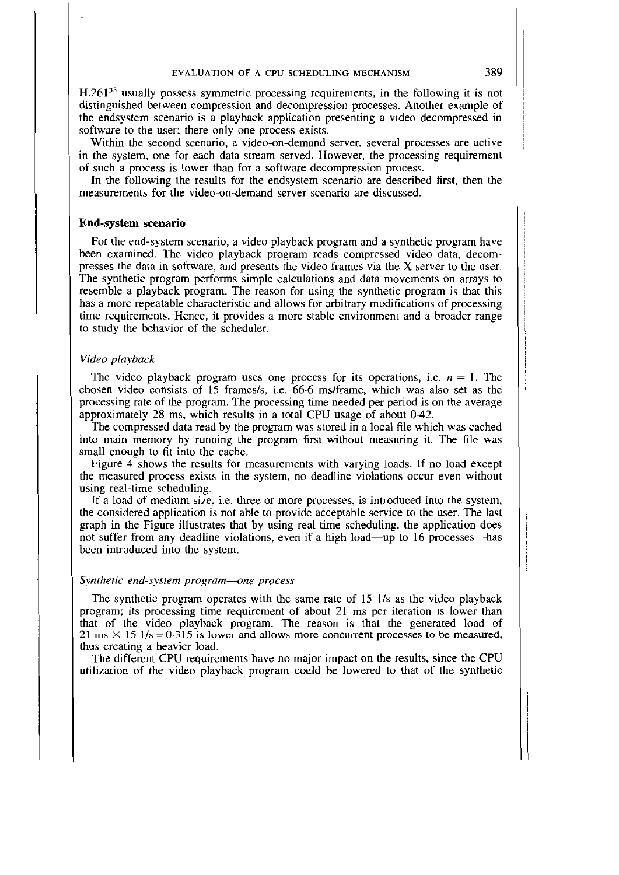H.261<sup>35</sup> usually possess symmetric processing requirements, in the following it is not distinguished between compression and decompression processes. Another example of the endsystem scenario is a playback application presenting a video decompressed in software to the user; there only one process exists.

Within the second scenario, a video-on-demand server, several processes are active in the system, one for each data stream served. However. the processing requirement of such a process is lower than for a software decompression process.

In the following the results for the endsystem scenario are described first, then the measurements for the video-on-demand server scenario are discussed.

## **End-system scenario**

For the end-system scenario, a video playback program and a synthetic program have been examined. The video playback program reads compressed video data, decompresses the data in software, and presents the video frames via the X server to the user. The synthetic program performs simple calculations and data movements on arrays to resemble a playback program. The reason for using the synthetic program is that this has a more repeatable characteristic and allows for arbitrary modifications of processing time requirements. Hence, it provides a more stable environment and a broader range to study the behavior of the scheduler.

#### *Video plavback*

The video playback program uses one process for its operations, i.e.  $n = 1$ . The chosen video consists of 15 frames/s, i.e. 66.6 ms/frame, which was also set as the processing rate of the program. The processing time needed per period is on the average approximately 28 ms, which results in a total CPU usage of about 0.42.

The compressed data read by the program was stored in a local file which was cached into main memory by mnning the program first without measuring it. The file was small enough to fit into the cache.

Figure 4 shows the results for measurements with varying loads. If no load except the measured process exists in the system, no deadline violations occur even without using real-time scheduling.

If a load of medium size, i.e. three or more processes, is introduced into the system, the considered application is not able to provide acceptable service to the user. The last graph in the Figure illustrates thai by using real-time scheduling, the application does not suffer from any deadline violations, even if a high load-up to 16 processes-has been introduced into the system.

## *Synrhetic end-systern program-one process*

The synthetic program operates with the same rate of 15 1/s as the video playback program; its processing time requirement of about 21 ms per iteration is lower ihan that of the video playback program. The reason is that the generated load of 21 ms  $\times$  15 1/s = 0.315 is lower and allows more concurrent processes to be measured, thus creating a heavier load.

The different CPU requirements have no major impact on ihe results, since the CPU utilization of the video playback program could be lowered to that of the synthetic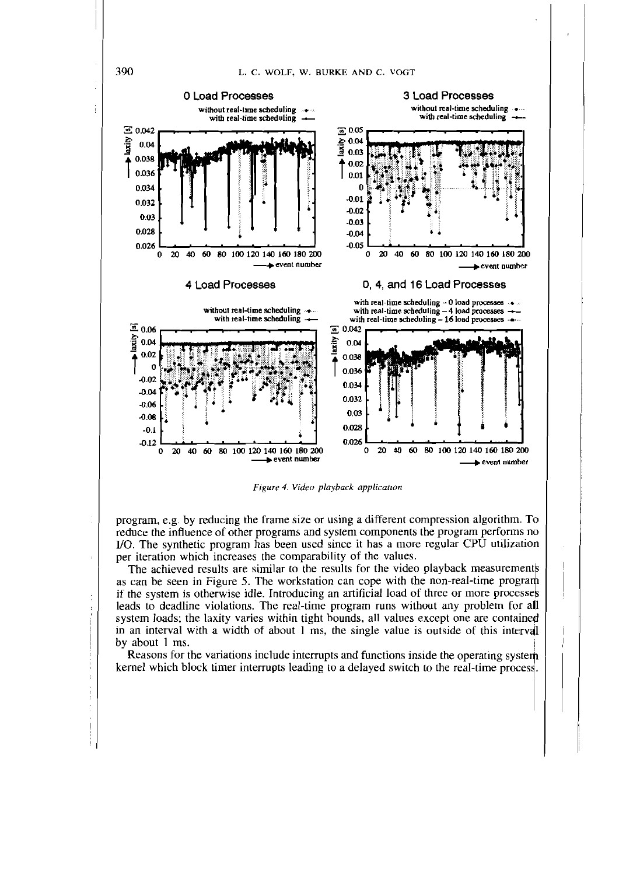

*Figure 4. Video playback application* 

**International Control** 

program. e.g. by reducing the frame size or using a different compression algorithm. To reduce the influence of other programs and system components the program performs no *VO.* The synthetic program has been used since it has a more regular CPU utilization per iteration which increases the comparability of the values.

The achieved results are similar to the results for the video playback measurements The achieved results are similar to the results for the video playback measurements<br>as can be seen in Figure 5. The workstation can cope with the non-real-time program<br>if the system is otherwise idle. Introducing an artifi leads to deadline violations. The real-time program runs without any problem for all system loads; the Iaxity varies within tight bounds, all values except one are contained in an interval with a width of about  $1 \text{ ms}$ , the single value is outside of this interval by about  $1 \text{ ms}$ .

Reasons for the variations include interrupts and functions inside the operating system kernel which block timer interrupts leading to a delayed switch to the real-time process.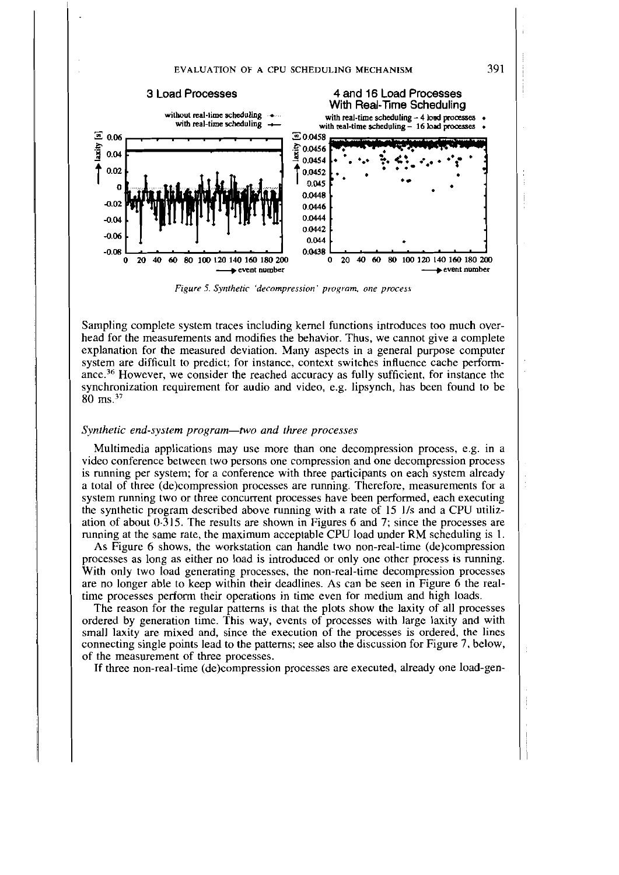

*Figure 5. Synthetic 'decompression' program, one process* 

Sarnpling complete system traces including kemel functions introduces too much overhead for the measurements and modifies the behavior. Thus, we cannot give a complete explanation for the measured deviation. Many aspects in a general purpose computer system are difficult to predict; for instance, context switches influence cache performance.<sup>36</sup> However, we consider the reached accuracy as fully sufficient, for instance the synchronization requirement for audio and video, e.g. lipsynch, has been found to be 80 ms.?'

#### *Synihetic end-system program-two and three processes*

Multimedia applications may use more than one decompression process, e.g. in a video conference between two persons one compression and one decompression process is running per system; for a conference with three participants on each system already a total of three (de)compression processes are mnning. Therefore, measurements for a system running two or three concurrent processes have been performed, each executing the synthetic program described above running with a rate of 15 1/s and a CPU utilization of about 0.315. The results are shown in Figures 6 and 7; since the processes are running at the same rate, the maximum acceptable CPU load under RM scheduling is 1.

As Figure 6 shows, the workstation can handle two non-real-time (de)compression processes as long as either no load is introduced or only one other process is ninning. With only two load generating processes, the non-real-time decompression processes are no longer able to keep within their deadlines. As can be seen in Figure 6 the realtime processes perform their operations in time even for medium and high loads.

The reason for the regular patterns is that the plots show the laxity of all processes ordered by generation time. This way, events of processes with large laxity and with small laxity are mixed and, since the execution of the processes is ordered, the lines connecting single points lead to the patterns; see also the discussion for Figure 7. below, of the measurement of three processes.

If three non-real-time (de)compression processes are executed, already one load-gen-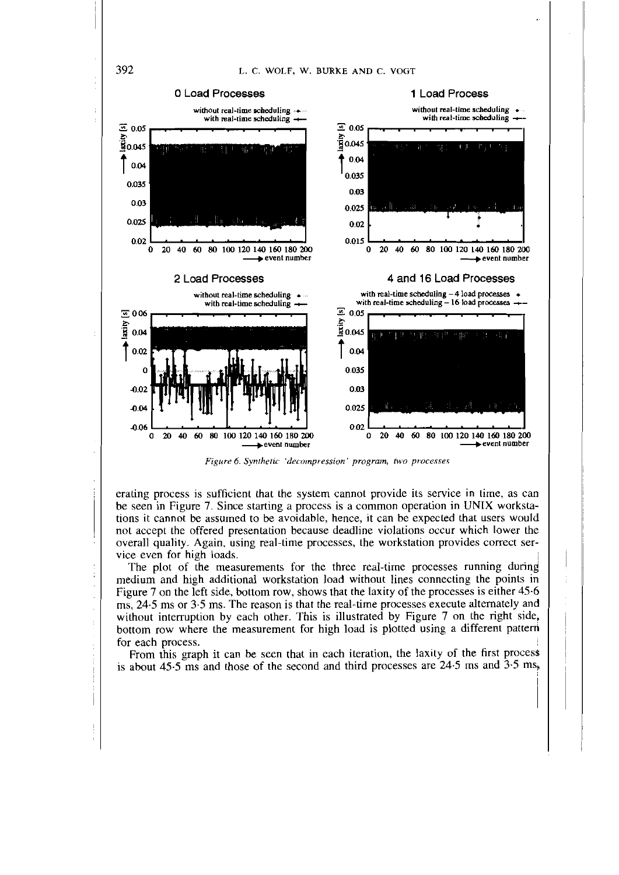



*Figure* **6.** *Syniheiir. 'derninprrssion' prograrn,* **hvo** *processer* 

erating process is sufficient that the System cannot provide its Service in time, as can be seen in Figure 7. Since starting a process is a common operation in UNIX workstations it cannot be assumed to be avoidable, hence, it can be expected that users would not accept the offered presentation because deadline violations occur which lower the Overall quality. Again, using real-time processes, the workstation provides correct service even for high loads.

The plot of the measurements for the three real-time processes running during medium and high additional workstation load without lines connecting the points in Figure 7 on the left side, bottom row, shows that the laxity of the processes is either 45.6 ms, 24.5 ms or 3.5 ms. The reason is that the real-time processes execute altemately and without interruption by each other. This is illustrated by Figure 7 on the right side, bottom row where the measurement for high load is plotted using a different pattem for each process.

From this graph it can be seen that in each iteration, the laxity of the first process is about 45.5 ms and those of the second and third processes are 24.5 ms and 3.5 ms,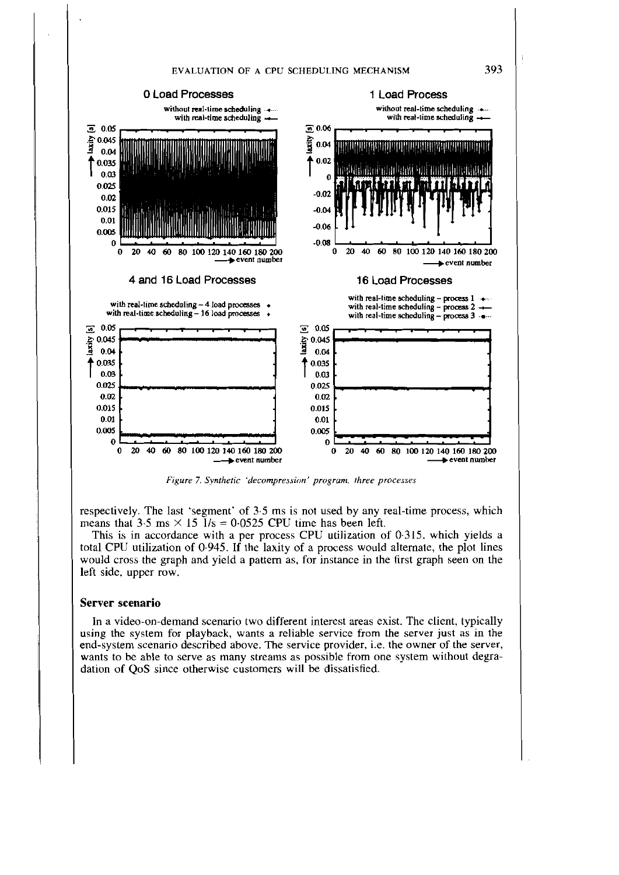

Figure 7. Synthetic 'decompression' program, three processes

respectively. The last 'segment' of 3.5 ms is not used by any real-time process, which means that  $3.5 \text{ ms} \times 15$   $1/s = 0.0525$  CPU time has been left.

This is in accordance with a per process CPU utilization of 0.315. which yields a total CPU utilization of 0.945. If the laxity of a process would altemate, the plot lines would cross the graph and yield a pattern as, for instance in the first graph seen on the left side, upper row.

## **Server scenario**

In a video-on-demand scenario two different interest areas exist. The client, typically using the system for playback, wants a reliable service from the server just as in the end-system scenario described above. The service provider, i.e. the owner of the server, wants to be able to serve as many streams as possible from one system without degradation of QoS since otherwise customers will be dissatisfied.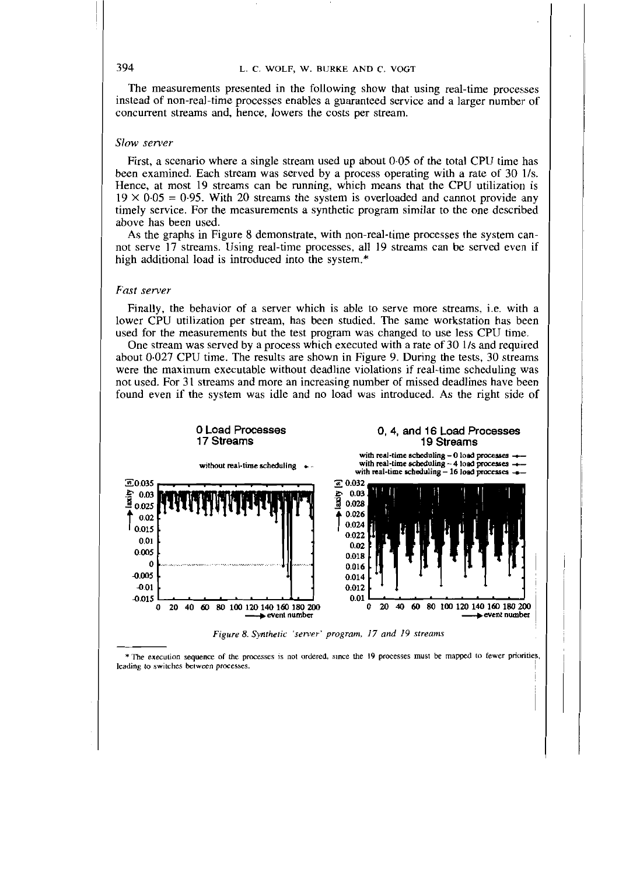## 394 **L. C. WOLF, W. BURKE AND C. VOGT**

The measurements presented in the following show that using real-time processes instead of non-real-time processes enables a guaranteed service and a larger number of concurrent streams and, hence, lowers the costs per stream.

#### **Slow** *sen'er*

First, a scenario where a single stream used up about *0.05* of the total CPU time has been examined. Each stream was served by a process operating with a rate of *30* 11s. Hence, at most 19 streams can be running, which means that the CPU utilization is  $19 \times 0.05 = 0.95$ . With 20 streams the system is overloaded and cannot provide any timely service. For the measurements a synthetic program similar to the one descnlbed above has been used.

As the graphs in Figure 8 demonstrate, with non-real-time processes the system cannot serve 17 streams. Using real-time processes, all 19 streams can be served even if high additional load is introduced into the system.<sup>\*</sup>

#### *Fast server*

Finally, the behavior of a server which is able to serve more streams, i.e. with a lower CPU utilization per stream, has been studied. The same workstation has been used for the measurements but the test program was changed to use less CPU time.

One stream was served by a process which executed with a rate of *30* 11s and required about *0.027* CPU time. The results are shown in Figure 9. Dunng the tests, *30* streams were the maximum executable without deadline violations if real-time scheduling was not used. For 31 streams and more an increasing number of missed deadlines have been found even if the system was idle and no load was introduced. As the right side of



**Figure** *8.* **Syrheric 'server' program, 17 and 19 streams** 

\* **The erecuiion sequence of the processes in not ordered, since the** 19 **processes musi be** rnapped **to fewer priocitiea. leading to switches between pmcesaes.** 

i

I

I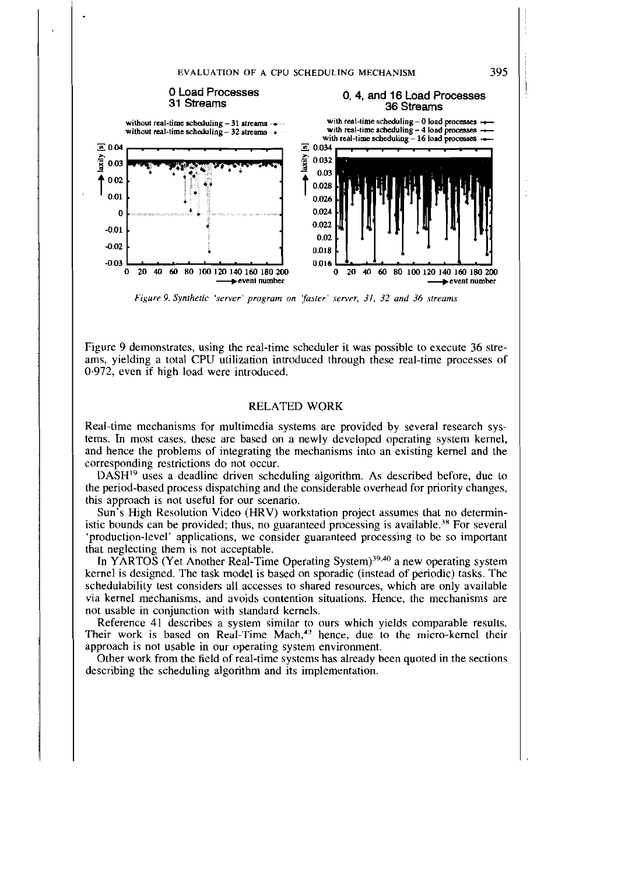



**Figur~ 9. Synthetic 'server' program on**  *:faster'* **yen3Pr.** 31. **32 and 36 srreams** 

Figure 9 demonstrates, using the real-time scheduler it was possible to execute 36 streams, yielding a total CPU utilization introduced through these real-time processes of 0.972, even if high load were introduced.

## RELATED WORK

Real-time mechanisms for multimedia systems are provided by several research systems. In most cases, these are based on a newly developed operating system kernel, and hence the problems of integrating the mechanisms into an existing kernel and the corresponding restrictions do not occur.

 $DASH<sup>19</sup>$  uses a deadline driven scheduling algorithm. As described before, due to the period-based process dispatching and the considerable overhead for priority changes, this approach is not useful for our scenario.

Sun's High Resolution Video (HRV) workstation project assumes that no deterministic bounds can be provided; thus, no guaranteed processing is available.<sup>38</sup> For several 'production-level' applications, we consider guaranteed processing to be so important that neglecting them is not acceptable.

In YARTOS (Yet Another Real-Time Operating System)<sup>39,40</sup> a new operating system kernel is designed. The task model is based on sporadic (instead of periodic) tasks. The schedulability test considers all accesses to shared resources, which are only availahle via kernel mechanisms, and avoids contention Situations. Hence, the mechanisms are not usable in conjunction with standard kernels.

Reference 41 describes a system similar to ours which yields comparable results. Their work is based on Real-Time Mach.<sup>42</sup> hence, due to the micro-kernel their approach is not usable in our operating system environment.

Other work from the field of real-time systems has already been quoted in the sections describing the scheduling algorithm and its implementation.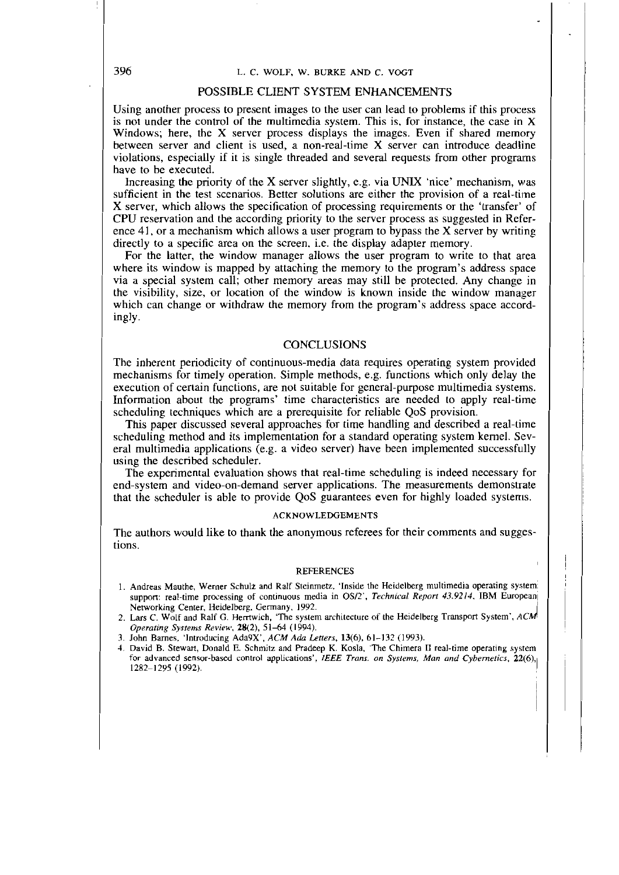## **396 L. C. WOLF, W. BURKE AND C. VOGT**

## POSSIBLE CLIENT SYSTEM ENHANCEMENTS

Using another process to present images to the user can lead to problems if this process is not under the control of the multimedia system. This is, for instance, the case in X Windows; here, the  $X$  server process displays the images. Even if shared memory between server and client is used, a non-real-time X server can introduce deadline violations, especially if it is single threaded and several requests from other programs have to be executed.

Increasing the priority of the  $X$  server slightly, e.g. via UNIX 'nice' mechanism, was sufficient in the test scenarios. Better solutions are either the provision of a real-time X server, whicb allows the specification of processing requirements or the 'transfer' of CPU reservation and the according priority to the server process as suggested in Reference 41, or a mechanism which allows a user program to bypass the  $X$  server by writing directly to a specific area on the screen. i.e. the display adapter memory.

For the latter, the window manager allows the user program to write to that area where its window is mapped by attaching the memory to the program's address space via a special system call; other memory areas may still be protected. Any change in the visibility, size, or location of the window is known inside the window manager which can change or withdraw the memory from the program's address space accordingly.

#### **CONCLUSIONS**

The inherent periodicity of continuous-media data requires operating system provicled mechanisms for timely operation. Simple methods, e.g. functions which only delay the execution of certain functions, are not suitable for general-purpose multimedia systems. Information about the programs' time characteristics are needed to apply real-time scheduling techniques which are a prerequisite for reliable QoS provision.

This paper discussed several approaches for time handling and described a real-time scheduling method and its implementation for a standard operating system kemel. Several multimedia applications  $(e.g., a video server)$  have been implemented successfully using the described scheduler.

The experimental evaluation shows that real-time scheduling is indeed necessary for end-system and video-on-demand server applications. The measurements demonstrate that the scheduler is able to provide QoS guarantees even for highly loaded systenis.

#### **ACKNOWLEEGEMENTS**

The authors would like to thank the anonymous referees for their comments and suggestions.

#### **REFERENCES**

- 1. Andreas Mauthe, Werner Schulz and Ralf Steinmetz, 'Inside the Heidelberg multimedia operating system. support: real-time processing of continuous media in OS/2', Technical Report 43.9214, IBM European **Networking Center, Heidelberg. Germany.** 1992.
- 2. Lars C. Wolf and Ralf G. Herrtwich, 'The system architecture of the Heidelberg Transport System',  $ACM$ *Operating Systems Review, 28(2), 51-64 (1994).*
- 3. **lohn Bames, 'Iniroducing AdagX',** *ACM Adn Lerierr,* 13(6), **61-13?** (1993).
- 4. **David B. Stewan, Donald E. Schmitz and Pradeep K. Kosla. 'The Chimera I1 rcal-time operating system**  for advanced sensor-based control applications', *IEEE Trans. on Systems, Man and Cybernetics*,  $22(6)$ , 1282-1295 (1992).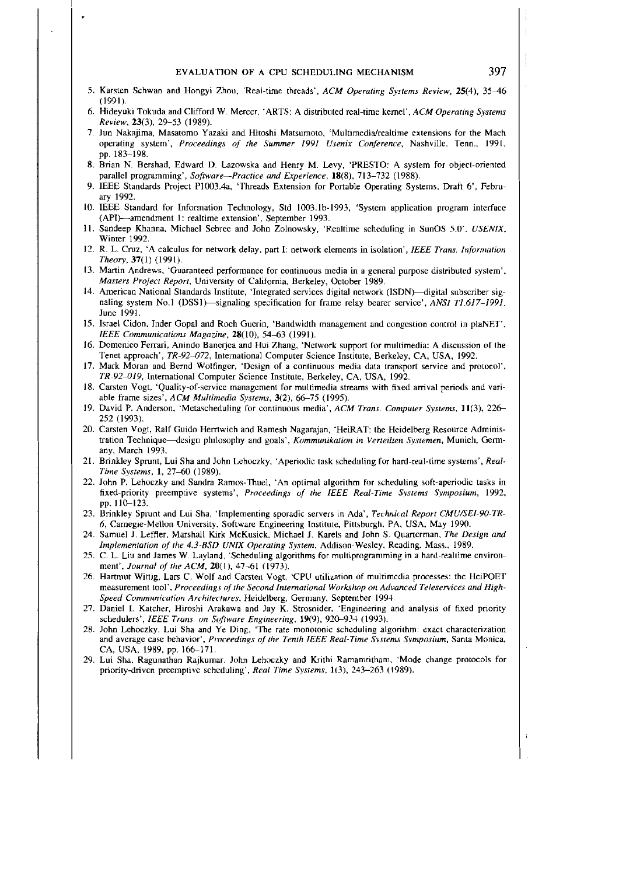- 5. Karsten Schwan and Hongyi Zhou, 'Real-time threads', *ACM Operating Systems Review,* 25(4). 3546 (1991).
- 6. Hideyuki Tokuda and Clifford W. Merccr, 'ARTS: A distributed real-time kernel'. *ACM Operaring System Review,* 23(3), 29-53 (1989).
- 7. Jun Nakajima, Masatomo Yazaki and Hitoshi Matsurnoto, 'Multimedialrealtinie exiensions for the Mach operating system'. Proceedings of the Summer 1991 Usenix Conference, Nashville. Tenn., 1991. pp. 183-198.
- 8. Brian N. Bershad, Edward D. Lazowska and Henry M. Levy, 'PRESTO: A system for object-oriented parallel programming', *Sofware-Pracrice and Experience,* 18(8), 713-732 (1988).
- 9. IEEE Standards Project P1003.4a, 'Threads Extension for Portable Operating Systems. Draft 6'. Febniary 1992.
- 10. IEEE Standard for Information Technology, Std 1003.1b-1993, 'System application program interface (API)-amendment 1: realtime extension', September 1993.
- 11. Sandeep Khanna. Michael Sebree and John Zolnowsky, 'Realtime scheduling in SunOS 5.V. *USENIX,*  Winter 1992.
- 12. R. L. Cruz, 'A calculus for network delay, part I: network elements in isolation', *IEEE Trans. Information Theorv,* 37(1) (1991).
- 13. Martin Andrews, 'Guaranteed performance for continuous media in a general purpose distribuied sysiem'. *Masters Projecl Reporl,* University of California, Berkeley, October 1989.
- 14. American National Standards Institute, 'Integrated services digital network (ISDN)—digital subscriber signaling system No.1 (DSS1)—signaling specification for frame relay bearer service', *ANS1 T1.617-1991*. June 1991.
- 15. Israel Cidon. Inder Gopal and Roch Guerin, 'Bandwidth management and congestion control in plaNET'. *IEEE Communications Magazine*, 28(10), 54-63 (1991).
- 16. Domenico Ferrari, Anindo Banejea and Hui Zhang, 'Network support for multimedia: A discussion of ihe Tenet approach', *TR-92-072*, International Computer Science Institute, Berkeley, CA, USA, 1992.
- 17. Mark Moran and Bernd Wolfinger, 'Design of **a** continuous media data transport service and proiocol'. *TR-92-019*. International Computer Science Institute, Berkeley, CA, USA, 1992.
- 18. Carsten Vogt, 'Quality-of-service management for multimedia streams with fixed arrival periods and variable frame sizes', *ACM Multimedia Systems*, 3(2), 66-75 (1995).
- 19. David P. Anderson, 'Metascheduling for continuous media', *ACM Trans. Compuier System.* 11(3), 226- 252 (1993).
- 20. Carsten Vogt, Ralf Guido Hemwich and Ramesh Nagarajan. 'HeiRAT: the Heidelberg Resource Administration Technique-design philosophy and goals', *Kommunikation in Verteilien Systemen*, Munich, Germany, March 1993.
- 21. Brinkley Sprunt, Lui Sha and John Lehoczky, 'Aperiodic task scheduling for hard-real-time systems', *Real- Time Systems*, **1**, 27–60 (1989).
- 22. John P. Lehoczky and Sandra Ramos-Thuel, 'An optimal algorithm for scheduling soft-aperiodic tasks in fixed-priority pieemptive systems'. *Proceedings of the IEEE Real-Time Svsrems Svmposium,* 1992, pp. 110-123.
- 23. Brinkley Spiunt and Lui Sha. 'Implementing spoiadic Servers in Ada'. *Technicnl Report CMU/SEI-90-TR-*6, Carnegie-Mellon University, Software Engineering Institute, Pittsburgh. PA, USA, May 1990.
- 24. Samuel J. Leffler, Marshall Kirk McKusick, Michael J. Karels and John S. Quarterman, The Design and *Implementation of the 4.3-BSD UNIX Operating System. Addison-Wesley. Reading. Mass., 1989.*
- 25. C. L. Liu and James W. Layland, 'Scheduling algorithms for multiprogramming in a hard-realtime environment', *Journal of the ACM*, 20(1), 47-61 (1973).
- 26. Hartmut Wittig. Lars C. Wolf and Carsten Vogt, 'CPU utilirarion of multimcdia processes: thc HciPOET measurement tool'. Proceedings of the Second International Workshop on Advanced Teleservices and High-Speed Communication Architectures, Heidelberg, Germany, September 1994.
- 27. Daniel 1. Katcher. Hiroshi Arakawa and lay K. Strosnider, 'Engineering and analysis of fixed priority schedulers', *IEEE Trans. on Software Engineering*, 19(9), 920-934 (1993).
- 28. John Lehoczky. Lui Sha and Ye Ding. 'The rate monotonic scheduling algorithm: exact characteriration and average case behavior', Proceedings of the Tenth IEEE Real-Time Systems Symposium, Santa Monica, CA, USA, 1989, pp. 166-171.
- 29. Lui Sha, Ragunathan Rajkumar. John Lehoczky and Krithi Ramamritham, 'Mode change protocols for priority-drivcn preemptive scheduling'. *Reol Time Sysiems,* l(3). 243-263 (1989).